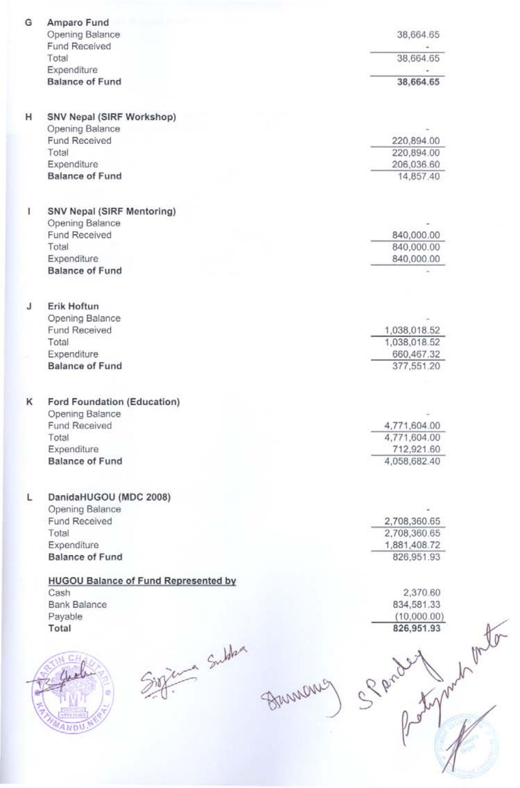| G | Amparo Fund                                   |          |                           |      |
|---|-----------------------------------------------|----------|---------------------------|------|
|   | Opening Balance                               |          | 38,664.65                 |      |
|   | <b>Fund Received</b>                          |          |                           |      |
|   | Total                                         |          | 38,664.65                 |      |
|   | Expenditure<br><b>Balance of Fund</b>         |          | 38,664.65                 |      |
|   |                                               |          |                           |      |
|   |                                               |          |                           |      |
| н | SNV Nepal (SIRF Workshop)<br>Opening Balance  |          |                           |      |
|   | <b>Fund Received</b>                          |          | 220,894.00                |      |
|   | Total                                         |          | 220,894.00                |      |
|   | Expenditure                                   |          | 206,036.60                |      |
|   | <b>Balance of Fund</b>                        |          | 14,857.40                 |      |
|   |                                               |          |                           |      |
| L | SNV Nepal (SIRF Mentoring)<br>Opening Balance |          |                           |      |
|   | Fund Received                                 |          | 840,000.00                |      |
|   | Total                                         |          | 840,000.00                |      |
|   | Expenditure                                   |          | 840,000.00                |      |
|   | <b>Balance of Fund</b>                        |          |                           |      |
|   |                                               |          |                           |      |
| J | Erik Hoftun<br>Opening Balance                |          |                           |      |
|   | Fund Received                                 |          | 1,038,018.52              |      |
|   | Total                                         |          | 1,038,018.52              |      |
|   | Expenditure                                   |          | 660,467.32                |      |
|   | <b>Balance of Fund</b>                        |          | 377,551.20                |      |
|   |                                               |          |                           |      |
| κ | Ford Foundation (Education)                   |          |                           |      |
|   | Opening Balance<br>Fund Received              |          | 4,771,604.00              |      |
|   | Total                                         |          | 4,771,604.00              |      |
|   | Expenditure                                   |          | 712,921.60                |      |
|   | <b>Balance of Fund</b>                        |          | 4,058,682.40              |      |
|   |                                               |          |                           |      |
| Г | DanidaHUGOU (MDC 2008)                        |          |                           |      |
|   | Opening Balance<br>Fund Received              |          | 2,708,360.65              |      |
|   | Total                                         |          | 2,708,360.65              |      |
|   | Expenditure                                   |          | 1,881,408.72              |      |
|   | <b>Balance of Fund</b>                        |          | 826,951.93                |      |
|   | <b>HUGOU Balance of Fund Represented by</b>   |          |                           |      |
|   | Cash                                          |          | 2,370.60                  |      |
|   | <b>Bank Balance</b><br>Payable                |          | 834,581.33<br>(10,000.00) |      |
|   | Total                                         |          | 826,951.93                |      |
|   |                                               |          |                           | onto |
|   | Tema Subler                                   |          |                           |      |
|   |                                               |          | Spart                     |      |
|   |                                               | Brindons |                           |      |
|   |                                               |          |                           |      |
|   |                                               |          |                           |      |
|   | ANDU                                          |          |                           |      |
|   |                                               |          |                           |      |
|   |                                               |          |                           |      |
|   |                                               |          |                           |      |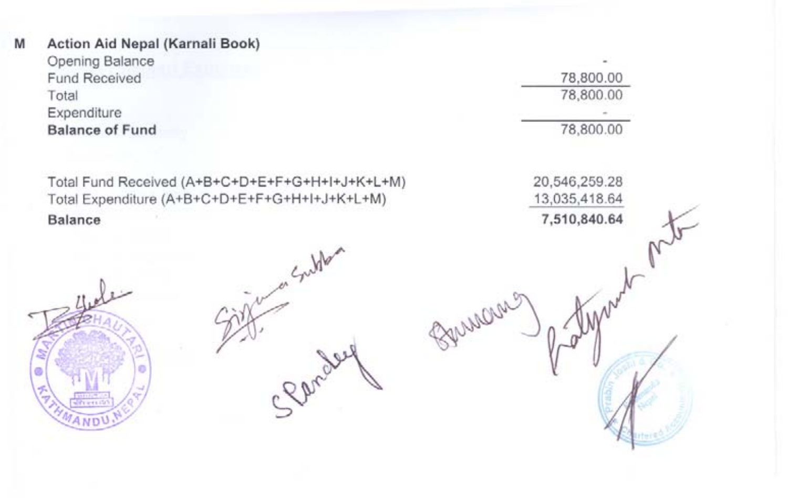| M | Action Aid Nepal (Karnali Book)<br>Opening Balance |               |  |
|---|----------------------------------------------------|---------------|--|
|   | <b>Fund Received</b>                               | 78,800.00     |  |
|   | Total                                              | 78,800.00     |  |
|   | Expenditure                                        |               |  |
|   | <b>Balance of Fund</b>                             | 78,800.00     |  |
|   |                                                    |               |  |
|   | Total Fund Received (A+B+C+D+E+F+G+H+I+J+K+L+M)    | 20,546,259.28 |  |
|   | Total Expenditure (A+B+C+D+E+F+G+H+I+J+K+L+M)      | 13,035,418.64 |  |
|   | <b>Balance</b>                                     | 7,510,840.64  |  |
|   |                                                    |               |  |
|   | Suble                                              |               |  |
|   |                                                    |               |  |
|   |                                                    | Shringon      |  |
|   |                                                    |               |  |
|   |                                                    |               |  |
|   | ø                                                  |               |  |
|   | $\tilde{\mathcal{T}}_{\mathcal{D}}$                |               |  |
|   | Slene<br><b>Printing</b>                           |               |  |
|   | VANDU                                              |               |  |
|   |                                                    |               |  |
|   |                                                    |               |  |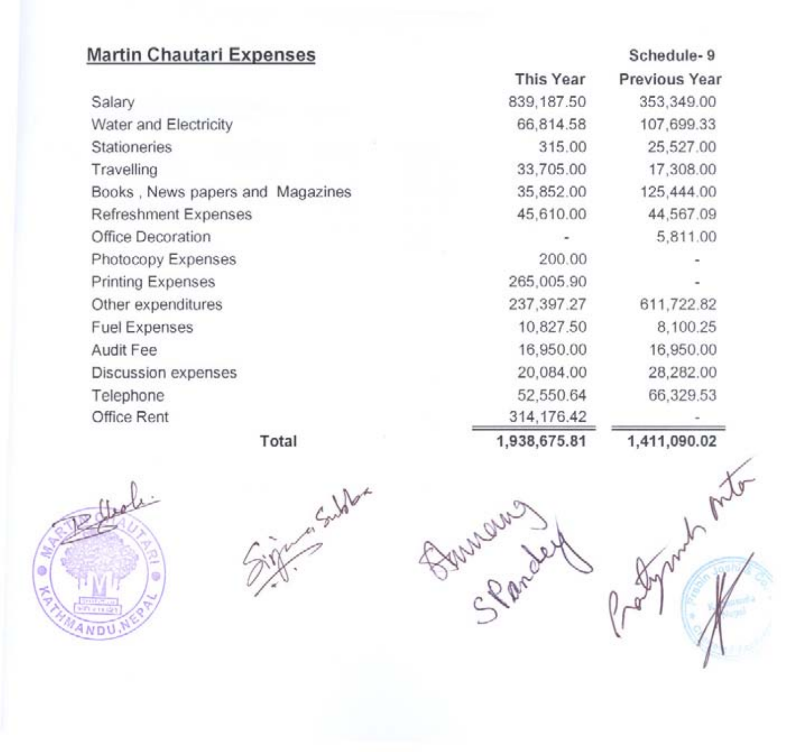# **Martin Chautari Expenses**

|                                  | <b>This Year</b> | <b>Previous Year</b> |
|----------------------------------|------------------|----------------------|
| Salary                           | 839, 187.50      | 353,349.00           |
| Water and Electricity            | 66,814.58        | 107,699.33           |
| Stationeries                     | 315.00           | 25,527.00            |
| Travelling                       | 33,705.00        | 17,308.00            |
| Books, News papers and Magazines | 35,852.00        | 125,444.00           |
| Refreshment Expenses             | 45,610.00        | 44,567.09            |
| Office Decoration                |                  | 5,811.00             |
| Photocopy Expenses               | 200.00           |                      |
| <b>Printing Expenses</b>         | 265,005.90       |                      |
| Other expenditures               | 237,397.27       | 611,722.82           |
| <b>Fuel Expenses</b>             | 10,827.50        | 8,100.25             |
| Audit Fee                        | 16,950.00        | 16,950.00            |
| Discussion expenses              | 20,084.00        | 28,282.00            |
| Telephone                        | 52,550.64        | 66,329.53            |
| Office Rent                      | 314, 176.42      |                      |
| Total                            | 1,938,675.81     | 1,411,090.02         |

**N<sub>D</sub>** 





**1,411,090.02**

*f*

**Schedule- 9**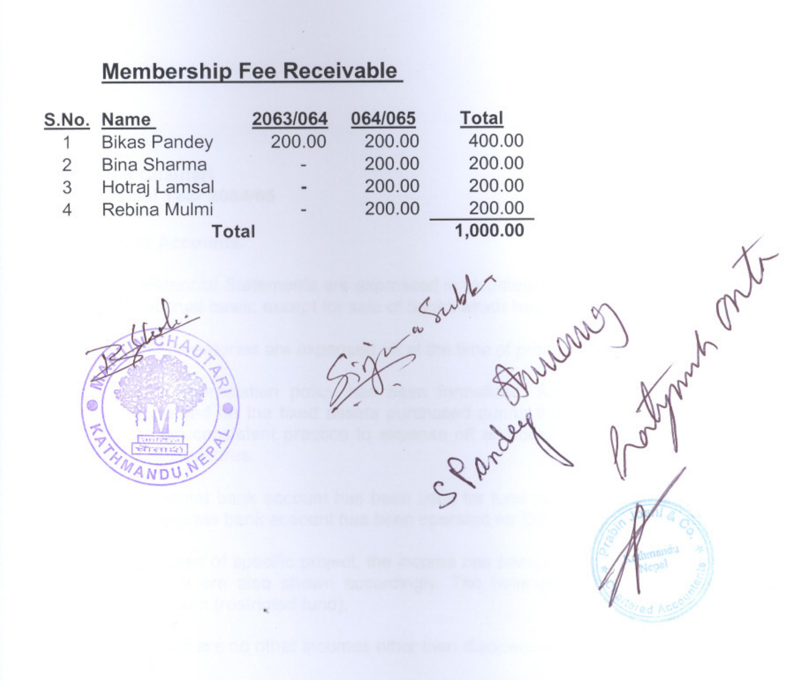# **Membership Fee Receivable**



and on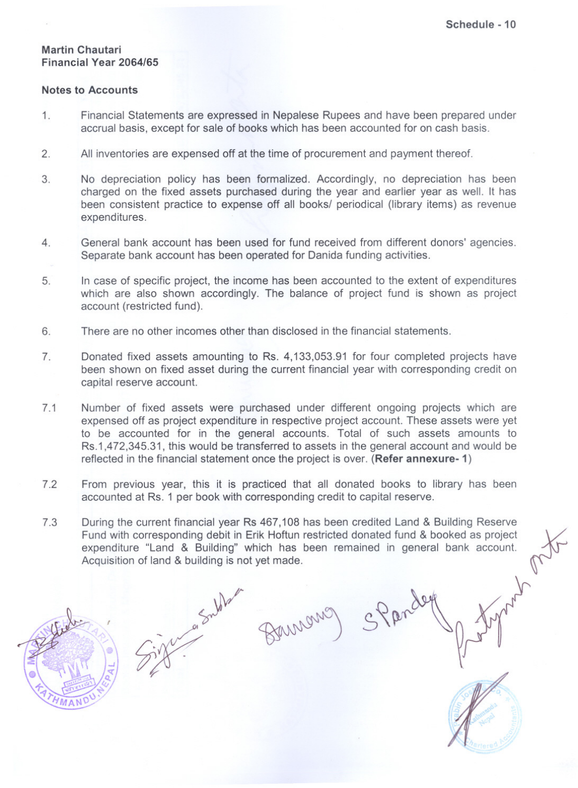#### Martin Chautari Financial Year 2064/65

### Notes to Accounts

- 1. Financial Statements are expressed in Nepalese Rupees and have been prepared under accrual basis, except for sale of books which has been accounted for on cash basis.
- 2. All inventories are expensed off at the time of procurement and payment thereof.
- 3. No depreciation policy has been formalized. Accordingly, no depreciation has been charged on the fixed assets purchased during the year and earlier year as well. It has been consistent practice to expense off all books/ periodical (library items) as revenue expenditures.
- 4. General bank account has been used for fund received from different donors' agencies. Separate bank account has been operated for Danida funding activities.
- 5. In case of specific project, the income has been accounted to the extent of expenditures which are also shown accordingly. The balance of project fund is shown as project account (restricted fund).
- 6. There are no other incomes other than disclosed in the financial statements.
- 7. Donated fixed assets amounting to Rs. 4,133,053.91 for four completed projects have been shown on fixed asset during the current financial year with corresponding credit on capital reserve account.
- 7.1 Number of fixed assets were purchased under different ongoing projects which are expensed off as project expenditure in respective project account. These assets were yet to be accounted for in the general accounts. Total of such assets amounts to Rs.1,472,345.31, this would be transferred to assets in the general account and would be reflected in the financial statement once the project is over. (Refer annexure- 1)
- 7.2 From previous year, this it is practiced that all donated books to library has been accounted at Rs. 1 per book with corresponding credit to capital reserve.
- 7.3 During the current financial year Rs 467,108 has been credited Land & Building Reserve Fund with corresponding debit in Erik Hoftun restricted donated fund & booked as project During the current infiancial year RS 407,100 has been credited Land & Building Reserve<br>Fund with corresponding debit in Erik Hoftun restricted donated fund & booked as project<br>expenditure "Land & Building" which has been Acquisition of land & building is not yet made.

clar